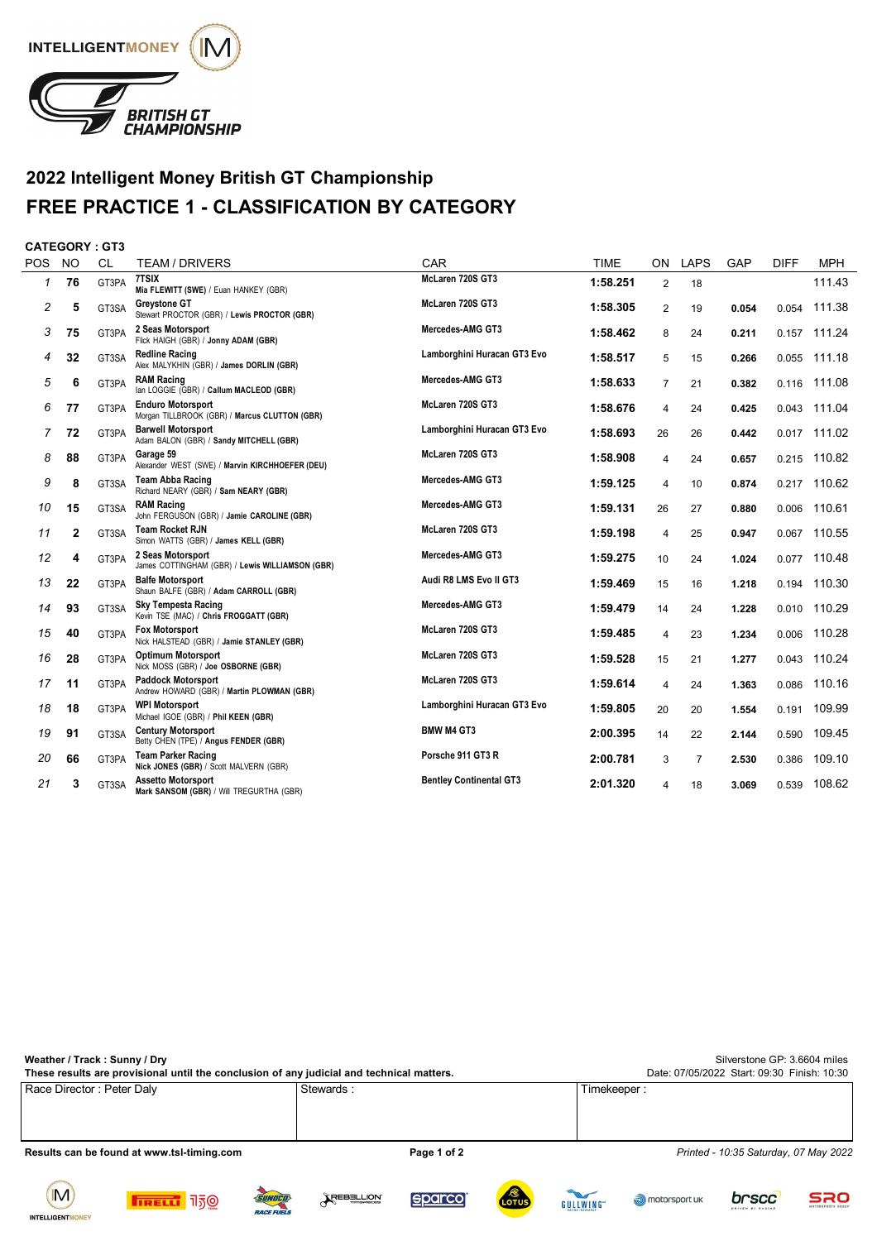

## **2022 Intelligent Money British GT Championship FREE PRACTICE 1 - CLASSIFICATION BY CATEGORY**

## **CATEGORY : GT3**

| <b>POS</b> | <b>NO</b>    | <b>CL</b> | <b>TEAM / DRIVERS</b>                                                     | CAR                            | <b>TIME</b> | ON             | <b>LAPS</b> | GAP   | <b>DIFF</b> | <b>MPH</b> |
|------------|--------------|-----------|---------------------------------------------------------------------------|--------------------------------|-------------|----------------|-------------|-------|-------------|------------|
| 1          | 76           | GT3PA     | 7TSIX<br>Mia FLEWITT (SWE) / Euan HANKEY (GBR)                            | McLaren 720S GT3               | 1:58.251    | $\overline{2}$ | 18          |       |             | 111.43     |
| 2          | 5            | GT3SA     | <b>Greystone GT</b><br>Stewart PROCTOR (GBR) / Lewis PROCTOR (GBR)        | McLaren 720S GT3               | 1:58.305    | $\overline{2}$ | 19          | 0.054 | 0.054       | 111.38     |
| 3          | 75           | GT3PA     | 2 Seas Motorsport<br>Flick HAIGH (GBR) / Jonny ADAM (GBR)                 | Mercedes-AMG GT3               | 1:58.462    | 8              | 24          | 0.211 | 0.157       | 111.24     |
| 4          | 32           | GT3SA     | <b>Redline Racing</b><br>Alex MALYKHIN (GBR) / James DORLIN (GBR)         | Lamborghini Huracan GT3 Evo    | 1:58.517    | 5              | 15          | 0.266 | 0.055       | 111.18     |
| 5          | 6            | GT3PA     | <b>RAM Racing</b><br>Ian LOGGIE (GBR) / Callum MACLEOD (GBR)              | Mercedes-AMG GT3               | 1:58.633    | 7              | 21          | 0.382 | 0.116       | 111.08     |
| 6          | 77           | GT3PA     | <b>Enduro Motorsport</b><br>Morgan TILLBROOK (GBR) / Marcus CLUTTON (GBR) | McLaren 720S GT3               | 1:58.676    | 4              | 24          | 0.425 | 0.043       | 111.04     |
| 7          | 72           | GT3PA     | <b>Barwell Motorsport</b><br>Adam BALON (GBR) / Sandy MITCHELL (GBR)      | Lamborghini Huracan GT3 Evo    | 1:58.693    | 26             | 26          | 0.442 | 0.017       | 111.02     |
| 8          | 88           | GT3PA     | Garage 59<br>Alexander WEST (SWE) / Marvin KIRCHHOEFER (DEU)              | McLaren 720S GT3               | 1:58.908    | 4              | 24          | 0.657 | 0.215       | 110.82     |
| 9          | 8            | GT3SA     | <b>Team Abba Racing</b><br>Richard NEARY (GBR) / Sam NEARY (GBR)          | Mercedes-AMG GT3               | 1:59.125    | 4              | 10          | 0.874 | 0.217       | 110.62     |
| 10         | 15           | GT3SA     | <b>RAM Racing</b><br>John FERGUSON (GBR) / Jamie CAROLINE (GBR)           | Mercedes-AMG GT3               | 1:59.131    | 26             | 27          | 0.880 | 0.006       | 110.61     |
| 11         | $\mathbf{2}$ | GT3SA     | <b>Team Rocket RJN</b><br>Simon WATTS (GBR) / James KELL (GBR)            | McLaren 720S GT3               | 1:59.198    | 4              | 25          | 0.947 | 0.067       | 110.55     |
| 12         | 4            | GT3PA     | 2 Seas Motorsport<br>James COTTINGHAM (GBR) / Lewis WILLIAMSON (GBR)      | Mercedes-AMG GT3               | 1:59.275    | 10             | 24          | 1.024 | 0.077       | 110.48     |
| 13         | 22           | GT3PA     | <b>Balfe Motorsport</b><br>Shaun BALFE (GBR) / Adam CARROLL (GBR)         | Audi R8 LMS Evo II GT3         | 1:59.469    | 15             | 16          | 1.218 | 0.194       | 110.30     |
| 14         | 93           | GT3SA     | <b>Sky Tempesta Racing</b><br>Kevin TSE (MAC) / Chris FROGGATT (GBR)      | Mercedes-AMG GT3               | 1:59.479    | 14             | 24          | 1.228 | 0.010       | 110.29     |
| 15         | 40           | GT3PA     | <b>Fox Motorsport</b><br>Nick HALSTEAD (GBR) / Jamie STANLEY (GBR)        | McLaren 720S GT3               | 1:59.485    | 4              | 23          | 1.234 | 0.006       | 110.28     |
| 16         | 28           | GT3PA     | <b>Optimum Motorsport</b><br>Nick MOSS (GBR) / Joe OSBORNE (GBR)          | McLaren 720S GT3               | 1:59.528    | 15             | 21          | 1.277 | 0.043       | 110.24     |
| 17         | 11           | GT3PA     | <b>Paddock Motorsport</b><br>Andrew HOWARD (GBR) / Martin PLOWMAN (GBR)   | McLaren 720S GT3               | 1:59.614    | 4              | 24          | 1.363 | 0.086       | 110.16     |
| 18         | 18           | GT3PA     | <b>WPI Motorsport</b><br>Michael IGOE (GBR) / Phil KEEN (GBR)             | Lamborghini Huracan GT3 Evo    | 1:59.805    | 20             | 20          | 1.554 | 0.191       | 109.99     |
| 19         | 91           | GT3SA     | <b>Century Motorsport</b><br>Betty CHEN (TPE) / Angus FENDER (GBR)        | <b>BMW M4 GT3</b>              | 2:00.395    | 14             | 22          | 2.144 | 0.590       | 109.45     |
| 20         | 66           | GT3PA     | <b>Team Parker Racing</b><br>Nick JONES (GBR) / Scott MALVERN (GBR)       | Porsche 911 GT3 R              | 2:00.781    | 3              | 7           | 2.530 | 0.386       | 109.10     |
| 21         | 3            | GT3SA     | <b>Assetto Motorsport</b><br>Mark SANSOM (GBR) / Will TREGURTHA (GBR)     | <b>Bentley Continental GT3</b> | 2:01.320    | 4              | 18          | 3.069 | 0.539       | 108.62     |
|            |              |           |                                                                           |                                |             |                |             |       |             |            |

| Weather / Track: Sunny / Dry<br>These results are provisional until the conclusion of any judicial and technical matters. | Silverstone GP: 3.6604 miles<br>Date: 07/05/2022 Start: 09:30 Finish: 10:30 |                                       |  |  |
|---------------------------------------------------------------------------------------------------------------------------|-----------------------------------------------------------------------------|---------------------------------------|--|--|
| Race Director : Peter Daly                                                                                                | Stewards:                                                                   | Timekeeper :                          |  |  |
| Results can be found at www.tsl-timing.com                                                                                | Page 1 of 2                                                                 | Printed - 10:35 Saturday, 07 May 2022 |  |  |